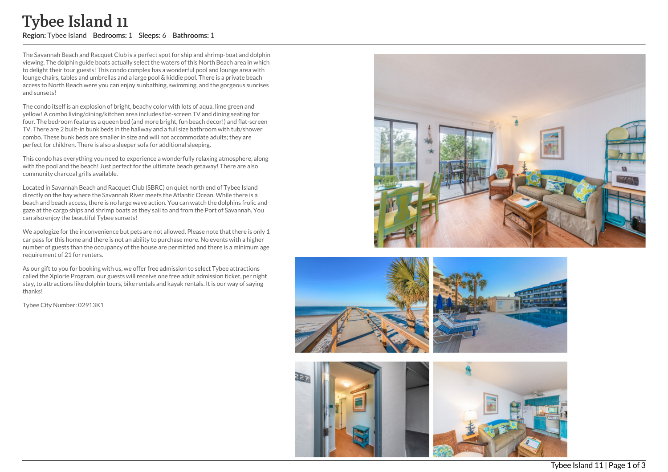## Tybee Island 11

## Region: Tybee Island Bedrooms: 1 Sleeps: 6 Bathrooms: 1

The Savannah Beach and Racquet Club is a perfect spot for ship and shrimp-boat and dolphin viewing. The dolphin guide boats actually select the waters of this North Beach area in which to delight their tour guests! This condo complex has a wonderful pool and lounge area with lounge chairs, tables and umbrellas and a large pool & kiddie pool. There is a private beach access to North Beach were you can enjoy sunbathing, swimming, and the gorgeous sunrises and sunsets!

The condo itself is an explosion of bright, beachy color with lots of aqua, lime green and yellow! A combo living/dining/kitchen area includes flat-screen TV and dining seating for four. The bedroom features a queen bed (and more bright, fun beach decor!) and flat-screen TV. There are 2 built-in bunk beds in the hallway and a full size bathroom with tub/shower combo. These bunk beds are smaller in size and will not accommodate adults; they are perfect for children. There is also a sleeper sofa for additional sleeping.

This condo has everything you need to experience a wonderfully relaxing atmosphere, along with the pool and the beach! Just perfect for the ultimate beach getaway! There are also community charcoal grills available.

Located in Savannah Beach and Racquet Club (SBRC) on quiet north end of Tybee Island directly on the bay where the Savannah River meets the Atlantic Ocean. While there is a beach and beach access, there is no large wave action. You can watch the dolphins frolic and gaze at the cargo ships and shrimp boats as they sail to and from the Port of Savannah. You can also enjoy the beautiful Tybee sunsets!

We apologize for the inconvenience but pets are not allowed. Please note that there is only 1 car pass for this home and there is not an ability to purchase more. No events with a higher number of guests than the occupancy of the house are permitted and there is a minimum age requirement of 21 for renters.

As our gift to you for booking with us, we offer free admission to select Tybee attractions called the Xplorie Program, our guests will receive one free adult admission ticket, per night stay, to attractions like dolphin tours, bike rentals and kayak rentals. It is our way of saying thanks!

Tybee City Number: 02913K1





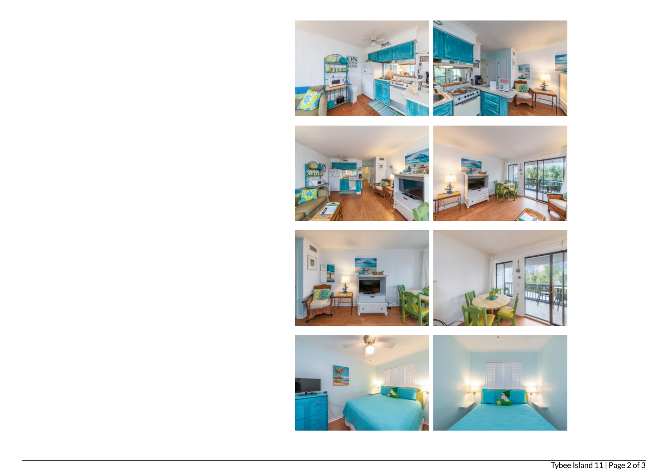